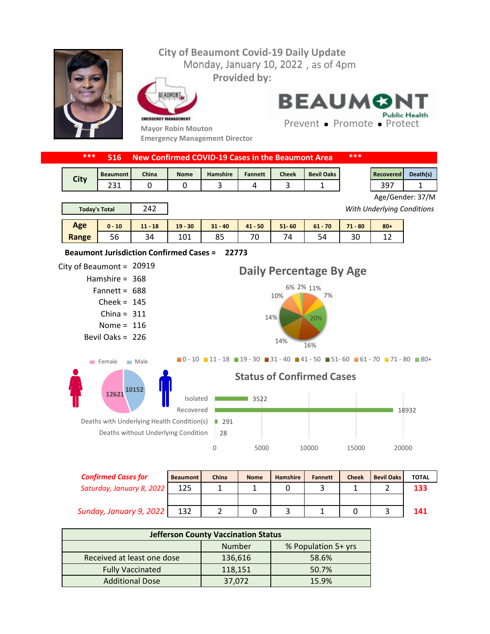## **City of Beaumont Covid-19 Daily Update** Monday, January 10, 2022, as of 4pm **Provided by:** EAUMONT **BEAUMO Public Health** EMERGENCY MANAGEMENT Prevent • Promote • Protect **Mayor Robin Mouton Emergency Management Director \*\*\* 516 New Confirmed COVID-19 Cases in the Beaumont Area \*\*\*** Beaumont | China | Nome | Hamshire | Fannett | Cheek | Bevil Oaks | Necovered | Death(s) **City** 231 | 0 | 0 | 3 | 4 | 3 | 1 | | | 397 | 1 Age/Gender: 37/M 242 *With Underlying Conditions* **Today's Total Age 0 - 10 11 - 18 19 - 30 31 - 40 41 - 50 51- 60 61 - 70 71 - 80 80+ Range** 56 34 101 85 70 74 54 30 12 **22773 Beaumont Jurisdiction Confirmed Cases =**  City of Beaumont =  $20919$ **Daily Percentage By Age** Hamshire = 368 6% 2% 11% Fannett = 688 7% 10%  $Check = 145$ China =  $311$ 14% 20% Nome =  $116$ Bevil Oaks = 226 16% 14%  $\blacksquare$ 0 - 10  $\blacksquare$  11 - 18  $\blacksquare$  19 - 30  $\blacksquare$  31 - 40  $\blacksquare$  41 - 50  $\blacksquare$  51 - 60  $\blacksquare$  61 - 70  $\blacksquare$  71 - 80  $\blacksquare$  80 + Female Male **Status of Confirmed Cases <sup>10152</sup> <sup>12621</sup>**  $\blacksquare$  3522 Isolated Recovered ■ 18932 Deaths with Underlying Health Condition(s) ■ 291 Deaths without Underlying Condition 28 0 5000 10000 15000 20000

| <b>Confirmed Cases for</b> | <b>Beaumont</b> | China | <b>Nome</b> | <b>Hamshire</b> | <b>Fannett</b> | <b>Cheek</b> | <b>Bevil Oaks</b> | <b>TOTAL</b> |
|----------------------------|-----------------|-------|-------------|-----------------|----------------|--------------|-------------------|--------------|
| Saturday, January 8, 2022  |                 |       |             |                 |                |              |                   | 133          |
|                            |                 |       |             |                 |                |              |                   |              |
| Sunday, January 9, 2022    | 132             |       |             |                 |                |              |                   | 141          |

| <b>Jefferson County Vaccination Status</b> |         |                     |  |  |  |  |
|--------------------------------------------|---------|---------------------|--|--|--|--|
|                                            | Number  | % Population 5+ yrs |  |  |  |  |
| Received at least one dose                 | 136,616 | 58.6%               |  |  |  |  |
| <b>Fully Vaccinated</b>                    | 118,151 | 50.7%               |  |  |  |  |
| <b>Additional Dose</b>                     | 37,072  | 15.9%               |  |  |  |  |